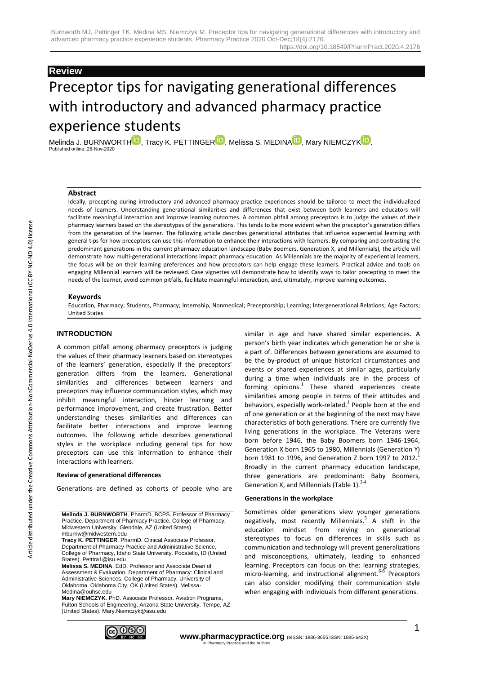## **Review**

# Preceptor tips for navigating generational differences with introductory and advanced pharmacy practice experience students

Melinda J. BURNWORT[H](https://orcid.org/0000-0001-8520-0586) $\blacksquare$ , Tracy K. PETTINGE[R](https://orcid.org/0000-0002-9761-0221) $\blacksquare$ , Melissa S. MEDIN[A](https://orcid.org/0000-0002-4777-6442) $\blacksquare$ , Mary NIEMCZY[K](https://orcid.org/0000-0003-0629-1454) $\blacksquare$ . Published online: 26-Nov-2020

#### **Abstract**

Ideally, precepting during introductory and advanced pharmacy practice experiences should be tailored to meet the individualized needs of learners. Understanding generational similarities and differences that exist between both learners and educators will facilitate meaningful interaction and improve learning outcomes. A common pitfall among preceptors is to judge the values of their pharmacy learners based on the stereotypes of the generations. This tends to be more evident when the preceptor's generation differs from the generation of the learner. The following article describes generational attributes that influence experiential learning with general tips for how preceptors can use this information to enhance their interactions with learners. By comparing and contrasting the predominant generations in the current pharmacy education landscape (Baby Boomers, Generation X, and Millennials), the article will demonstrate how multi-generational interactions impact pharmacy education. As Millennials are the majority of experiential learners, the focus will be on their learning preferences and how preceptors can help engage these learners. Practical advice and tools on engaging Millennial learners will be reviewed. Case vignettes will demonstrate how to identify ways to tailor precepting to meet the needs of the learner, avoid common pitfalls, facilitate meaningful interaction, and, ultimately, improve learning outcomes.

#### **Keywords**

Education, Pharmacy; Students, Pharmacy; Internship, Nonmedical; Preceptorship; Learning; Intergenerational Relations; Age Factors; United States

## **INTRODUCTION**

A common pitfall among pharmacy preceptors is judging the values of their pharmacy learners based on stereotypes of the learners' generation, especially if the preceptors' generation differs from the learners. Generational similarities and differences between learners and preceptors may influence communication styles, which may inhibit meaningful interaction, hinder learning and performance improvement, and create frustration. Better understanding theses similarities and differences can facilitate better interactions and improve learning outcomes. The following article describes generational styles in the workplace including general tips for how preceptors can use this information to enhance their interactions with learners.

#### **Review of generational differences**

Generations are defined as cohorts of people who are

**Tracy K. PETTINGER**. PharmD. Clinical Associate Professor. Department of Pharmacy Practice and Administrative Science, College of Pharmacy, Idaho State University. Pocatello, ID (United States). Petttra1@isu.edu

**Melissa S. MEDINA**. EdD. Professor and Associate Dean of Assessment & Evaluation. Department of Pharmacy: Clinical and Administrative Sciences, College of Pharmacy, University of Oklahoma. Oklahoma City, OK (United States). Melissa-Medina@ouhsc.edu

**Mary NIEMCZYK**. PhD. Associate Professor. Aviation Programs, Fulton Schools of Engineering, Arizona State University. Tempe, AZ (United States). Mary.Niemczyk@asu.edu



similar in age and have shared similar experiences. A person's birth year indicates which generation he or she is a part of. Differences between generations are assumed to be the by-product of unique historical circumstances and events or shared experiences at similar ages, particularly during a time when individuals are in the process of forming opinions.<sup>1</sup> These shared experiences create similarities among people in terms of their attitudes and behaviors, especially work-related.<sup>1</sup> People born at the end of one generation or at the beginning of the next may have characteristics of both generations. There are currently five living generations in the workplace. The Veterans were born before 1946, the Baby Boomers born 1946-1964, Generation X born 1965 to 1980, Millennials (Generation Y) born 1981 to 1996, and Generation Z born 1997 to 2012. Broadly in the current pharmacy education landscape, three generations are predominant: Baby Boomers, Generation X, and Millennials (Table 1). $2-4$ 

#### **Generations in the workplace**

Sometimes older generations view younger generations negatively, most recently Millennials.<sup>5</sup> A shift in the education mindset from relying on generational stereotypes to focus on differences in skills such as communication and technology will prevent generalizations and misconceptions, ultimately, leading to enhanced learning. Preceptors can focus on the: learning strategies, micro-learning, and instructional alignment.<sup>6-8</sup> Preceptors can also consider modifying their communication style when engaging with individuals from different generations.

**Melinda J. BURNWORTH**. PharmD, BCPS. Professor of Pharmacy Practice. Department of Pharmacy Practice, College of Pharmacy, Midwestern University. Glendale, AZ (United States). mburnw@midwestern.edu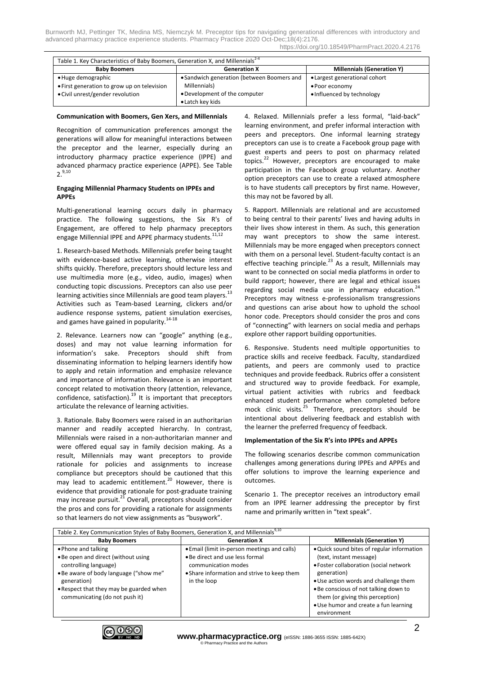| Table 1. Key Characteristics of Baby Boomers, Generation X, and Millennials <sup>2-4</sup> |                                            |                                   |  |
|--------------------------------------------------------------------------------------------|--------------------------------------------|-----------------------------------|--|
| <b>Baby Boomers</b>                                                                        | <b>Generation X</b>                        | <b>Millennials (Generation Y)</b> |  |
| • Huge demographic                                                                         | • Sandwich generation (between Boomers and | • Largest generational cohort     |  |
| • First generation to grow up on television                                                | Millennials)                               | • Poor economy                    |  |
| • Civil unrest/gender revolution                                                           | • Development of the computer              | • Influenced by technology        |  |
|                                                                                            | • Latch key kids                           |                                   |  |

#### **Communication with Boomers, Gen Xers, and Millennials**

Recognition of communication preferences amongst the generations will allow for meaningful interactions between the preceptor and the learner, especially during an introductory pharmacy practice experience (IPPE) and advanced pharmacy practice experience (APPE). See Table  $2^{9,10}$ 

#### **Engaging Millennial Pharmacy Students on IPPEs and APPEs**

Multi-generational learning occurs daily in pharmacy practice. The following suggestions, the Six R's of Engagement, are offered to help pharmacy preceptors engage Millennial IPPE and APPE pharmacy students.<sup>11,12</sup>

1. Research-based Methods. Millennials prefer being taught with evidence-based active learning, otherwise interest shifts quickly. Therefore, preceptors should lecture less and use multimedia more (e.g., video, audio, images) when conducting topic discussions. Preceptors can also use peer learning activities since Millennials are good team players.<sup>13</sup> Activities such as Team-based Learning, clickers and/or audience response systems, patient simulation exercises, and games have gained in popularity.<sup>14-18</sup>

2. Relevance. Learners now can "google" anything (e.g., doses) and may not value learning information for information's sake. Preceptors should shift from disseminating information to helping learners identify how to apply and retain information and emphasize relevance and importance of information. Relevance is an important concept related to motivation theory (attention, relevance, confidence, satisfaction).<sup>19</sup> It is important that preceptors articulate the relevance of learning activities.

3. Rationale. Baby Boomers were raised in an authoritarian manner and readily accepted hierarchy. In contrast, Millennials were raised in a non-authoritarian manner and were offered equal say in family decision making. As a result, Millennials may want preceptors to provide rationale for policies and assignments to increase compliance but preceptors should be cautioned that this may lead to academic entitlement.<sup>20</sup> However, there is evidence that providing rationale for post-graduate training may increase pursuit.<sup>21</sup> Overall, preceptors should consider the pros and cons for providing a rationale for assignments so that learners do not view assignments as "busywork".

4. Relaxed. Millennials prefer a less formal, "laid-back" learning environment, and prefer informal interaction with peers and preceptors. One informal learning strategy preceptors can use is to create a Facebook group page with guest experts and peers to post on pharmacy related topics.<sup>22</sup> However, preceptors are encouraged to make participation in the Facebook group voluntary. Another option preceptors can use to create a relaxed atmosphere is to have students call preceptors by first name. However, this may not be favored by all.

5. Rapport. Millennials are relational and are accustomed to being central to their parents' lives and having adults in their lives show interest in them. As such, this generation may want preceptors to show the same interest. Millennials may be more engaged when preceptors connect with them on a personal level. Student-faculty contact is an effective teaching principle.<sup>23</sup> As a result, Millennials mav want to be connected on social media platforms in order to build rapport; however, there are legal and ethical issues regarding social media use in pharmacy education. $24$ Preceptors may witness e-professionalism transgressions and questions can arise about how to uphold the school honor code. Preceptors should consider the pros and cons of "connecting" with learners on social media and perhaps explore other rapport building opportunities.

6. Responsive. Students need multiple opportunities to practice skills and receive feedback. Faculty, standardized patients, and peers are commonly used to practice techniques and provide feedback. Rubrics offer a consistent and structured way to provide feedback. For example, virtual patient activities with rubrics and feedback enhanced student performance when completed before mock clinic visits.<sup>25</sup> Therefore, preceptors should be intentional about delivering feedback and establish with the learner the preferred frequency of feedback.

#### **Implementation of the Six R's into IPPEs and APPEs**

The following scenarios describe common communication challenges among generations during IPPEs and APPEs and offer solutions to improve the learning experience and outcomes.

Scenario 1. The preceptor receives an introductory email from an IPPE learner addressing the preceptor by first name and primarily written in "text speak".

| Table 2. Key Communication Styles of Baby Boomers, Generation X, and Millennials <sup>9,10</sup>                                                                                                                          |                                                                                                                                                                      |                                                                                                                                                                                                                                                                                                              |  |
|---------------------------------------------------------------------------------------------------------------------------------------------------------------------------------------------------------------------------|----------------------------------------------------------------------------------------------------------------------------------------------------------------------|--------------------------------------------------------------------------------------------------------------------------------------------------------------------------------------------------------------------------------------------------------------------------------------------------------------|--|
| <b>Baby Boomers</b>                                                                                                                                                                                                       | <b>Generation X</b>                                                                                                                                                  | <b>Millennials (Generation Y)</b>                                                                                                                                                                                                                                                                            |  |
| • Phone and talking<br>. Be open and direct (without using<br>controlling language)<br>• Be aware of body language ("show me"<br>generation)<br>• Respect that they may be guarded when<br>communicating (do not push it) | • Email (limit in-person meetings and calls)<br>• Be direct and use less formal<br>communication modes<br>• Share information and strive to keep them<br>in the loop | . Quick sound bites of regular information<br>(text, instant message)<br>· Foster collaboration (social network<br>generation)<br>• Use action words and challenge them<br>. Be conscious of not talking down to<br>them (or giving this perception)<br>• Use humor and create a fun learning<br>environment |  |

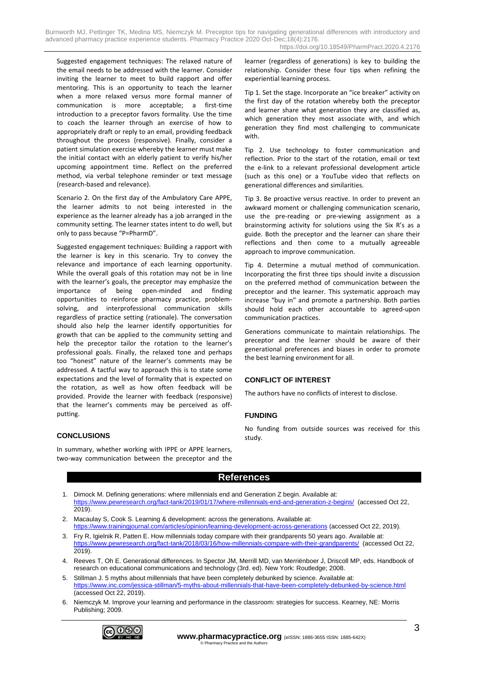Burnworth MJ, Pettinger TK, Medina MS, Niemczyk M. Preceptor tips for navigating generational differences with introductory and advanced pharmacy practice experience students. Pharmacy Practice 2020 Oct-Dec;18(4):2176. https://doi.org/10.18549/PharmPract.2020.4.2176

Suggested engagement techniques: The relaxed nature of the email needs to be addressed with the learner. Consider inviting the learner to meet to build rapport and offer mentoring. This is an opportunity to teach the learner when a more relaxed versus more formal manner of communication is more acceptable; a first-time introduction to a preceptor favors formality. Use the time to coach the learner through an exercise of how to appropriately draft or reply to an email, providing feedback throughout the process (responsive). Finally, consider a patient simulation exercise whereby the learner must make the initial contact with an elderly patient to verify his/her upcoming appointment time. Reflect on the preferred method, via verbal telephone reminder or text message (research-based and relevance).

Scenario 2. On the first day of the Ambulatory Care APPE, the learner admits to not being interested in the experience as the learner already has a job arranged in the community setting. The learner states intent to do well, but only to pass because "P=PharmD".

Suggested engagement techniques: Building a rapport with the learner is key in this scenario. Try to convey the relevance and importance of each learning opportunity. While the overall goals of this rotation may not be in line with the learner's goals, the preceptor may emphasize the importance of being open-minded and finding opportunities to reinforce pharmacy practice, problemsolving, and interprofessional communication skills regardless of practice setting (rationale). The conversation should also help the learner identify opportunities for growth that can be applied to the community setting and help the preceptor tailor the rotation to the learner's professional goals. Finally, the relaxed tone and perhaps too "honest" nature of the learner's comments may be addressed. A tactful way to approach this is to state some expectations and the level of formality that is expected on the rotation, as well as how often feedback will be provided. Provide the learner with feedback (responsive) that the learner's comments may be perceived as offputting.

## **CONCLUSIONS**

In summary, whether working with IPPE or APPE learners, two-way communication between the preceptor and the learner (regardless of generations) is key to building the relationship. Consider these four tips when refining the experiential learning process.

Tip 1. Set the stage. Incorporate an "ice breaker" activity on the first day of the rotation whereby both the preceptor and learner share what generation they are classified as, which generation they most associate with, and which generation they find most challenging to communicate with.

Tip 2. Use technology to foster communication and reflection. Prior to the start of the rotation, email or text the e-link to a relevant professional development article (such as this one) or a YouTube video that reflects on generational differences and similarities.

Tip 3. Be proactive versus reactive. In order to prevent an awkward moment or challenging communication scenario, use the pre-reading or pre-viewing assignment as a brainstorming activity for solutions using the Six R's as a guide. Both the preceptor and the learner can share their reflections and then come to a mutually agreeable approach to improve communication.

Tip 4. Determine a mutual method of communication. Incorporating the first three tips should invite a discussion on the preferred method of communication between the preceptor and the learner. This systematic approach may increase "buy in" and promote a partnership. Both parties should hold each other accountable to agreed-upon communication practices.

Generations communicate to maintain relationships. The preceptor and the learner should be aware of their generational preferences and biases in order to promote the best learning environment for all.

## **CONFLICT OF INTEREST**

The authors have no conflicts of interest to disclose.

## **FUNDING**

No funding from outside sources was received for this study.

## **References**

- 1. Dimock M. Defining generations: where millennials end and Generation Z begin. Available at: <https://www.pewresearch.org/fact-tank/2019/01/17/where-millennials-end-and-generation-z-begins/> (accessed Oct 22, 2019).
- 2. Macaulay S, Cook S. Learning & development: across the generations. Available at: <https://www.trainingjournal.com/articles/opinion/learning-development-across-generations> (accessed Oct 22, 2019).
- 3. Fry R, Igielnik R, Patten E. How millennials today compare with their grandparents 50 years ago. Available at: <https://www.pewresearch.org/fact-tank/2018/03/16/how-millennials-compare-with-their-grandparents/> (accessed Oct 22, 2019).
- 4. Reeves T, Oh E. Generational differences. In Spector JM, Merrill MD, van Merriënboer J, Driscoll MP, eds. Handbook of research on educational communications and technology (3rd. ed). New York: Routledge; 2008.
- 5. Stillman J. 5 myths about millennials that have been completely debunked by science. Available at: <https://www.inc.com/jessica-stillman/5-myths-about-millennials-that-have-been-completely-debunked-by-science.html> (accessed Oct 22, 2019).
- 6. Niemczyk M. Improve your learning and performance in the classroom: strategies for success. Kearney, NE: Morris Publishing; 2009.